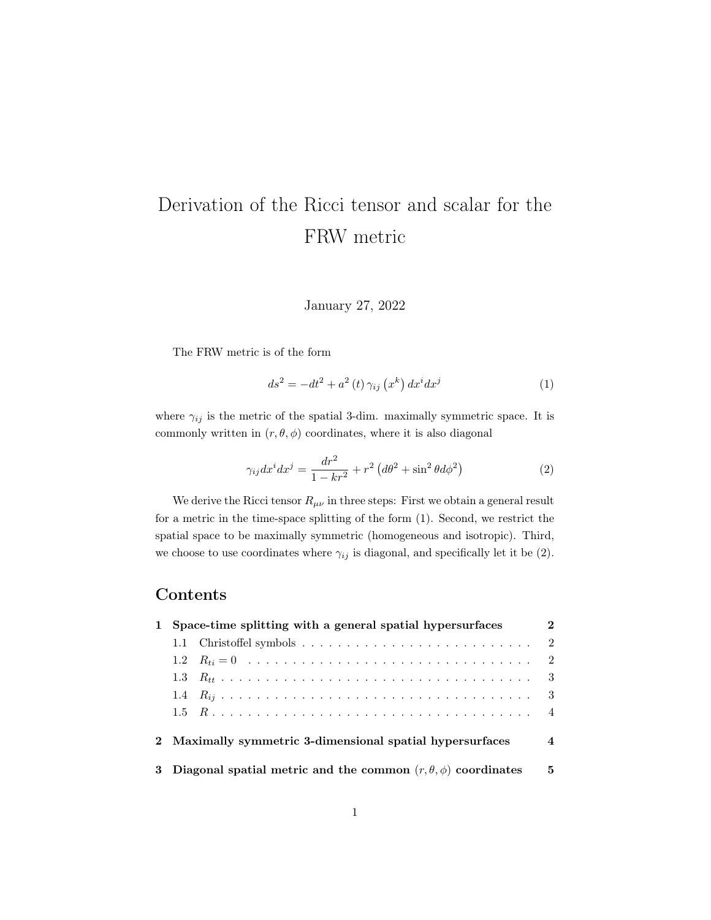# Derivation of the Ricci tensor and scalar for the FRW metric

January 27, 2022

The FRW metric is of the form

<span id="page-0-0"></span>
$$
ds^{2} = -dt^{2} + a^{2}(t)\,\gamma_{ij}\left(x^{k}\right)dx^{i}dx^{j} \tag{1}
$$

where  $\gamma_{ij}$  is the metric of the spatial 3-dim. maximally symmetric space. It is commonly written in  $(r, \theta, \phi)$  coordinates, where it is also diagonal

<span id="page-0-1"></span>
$$
\gamma_{ij}dx^{i}dx^{j} = \frac{dr^{2}}{1 - kr^{2}} + r^{2} \left(d\theta^{2} + \sin^{2}\theta d\phi^{2}\right)
$$
 (2)

We derive the Ricci tensor  $R_{\mu\nu}$  in three steps: First we obtain a general result for a metric in the time-space splitting of the form [\(1\)](#page-0-0). Second, we restrict the spatial space to be maximally symmetric (homogeneous and isotropic). Third, we choose to use coordinates where  $\gamma_{ij}$  is diagonal, and specifically let it be [\(2\)](#page-0-1).

#### **Contents**

| 1 Space-time splitting with a general spatial hypersurfaces              |  |   |  |  |
|--------------------------------------------------------------------------|--|---|--|--|
|                                                                          |  | 2 |  |  |
|                                                                          |  |   |  |  |
|                                                                          |  |   |  |  |
|                                                                          |  |   |  |  |
|                                                                          |  |   |  |  |
| 2 Maximally symmetric 3-dimensional spatial hypersurfaces                |  |   |  |  |
| 3 Diagonal spatial metric and the common $(r, \theta, \phi)$ coordinates |  |   |  |  |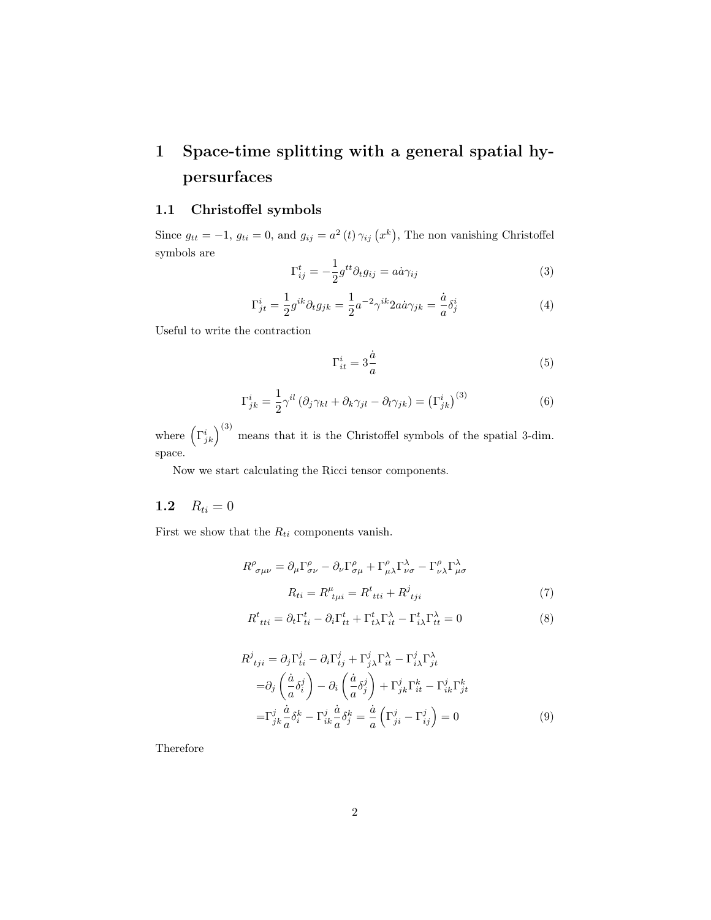## <span id="page-1-0"></span>1 Space-time splitting with a general spatial hypersurfaces

#### <span id="page-1-1"></span>1.1 Christoffel symbols

Since  $g_{tt} = -1$ ,  $g_{ti} = 0$ , and  $g_{ij} = a^2(t) \gamma_{ij} (x^k)$ , The non vanishing Christoffel symbols are

$$
\Gamma_{ij}^{t} = -\frac{1}{2}g^{tt}\partial_{t}g_{ij} = a\dot{a}\gamma_{ij}
$$
\n(3)

$$
\Gamma_{jt}^{i} = \frac{1}{2} g^{ik} \partial_t g_{jk} = \frac{1}{2} a^{-2} \gamma^{ik} 2 a \dot{a} \gamma_{jk} = \frac{\dot{a}}{a} \delta_j^i \tag{4}
$$

Useful to write the contraction

$$
\Gamma_{it}^{i} = 3\frac{\dot{a}}{a} \tag{5}
$$

$$
\Gamma_{jk}^{i} = \frac{1}{2} \gamma^{il} \left( \partial_{j} \gamma_{kl} + \partial_{k} \gamma_{jl} - \partial_{l} \gamma_{jk} \right) = \left( \Gamma_{jk}^{i} \right)^{(3)}
$$
(6)

where  $(\Gamma^i_{jk})^{(3)}$  means that it is the Christoffel symbols of the spatial 3-dim. space.

Now we start calculating the Ricci tensor components.

### <span id="page-1-2"></span>1.2  $R_{ti} = 0$

First we show that the  $R_{ti}$  components vanish.

$$
R^{\rho}_{\sigma\mu\nu} = \partial_{\mu}\Gamma^{\rho}_{\sigma\nu} - \partial_{\nu}\Gamma^{\rho}_{\sigma\mu} + \Gamma^{\rho}_{\mu\lambda}\Gamma^{\lambda}_{\nu\sigma} - \Gamma^{\rho}_{\nu\lambda}\Gamma^{\lambda}_{\mu\sigma}
$$

$$
R_{ti} = R^{\mu}_{\ t\mu i} = R^t_{\ tti} + R^j_{\ tji} \tag{7}
$$

$$
R^t_{\ tti} = \partial_t \Gamma^t_{ti} - \partial_i \Gamma^t_{tt} + \Gamma^t_{t\lambda} \Gamma^{\lambda}_{it} - \Gamma^t_{i\lambda} \Gamma^{\lambda}_{tt} = 0 \tag{8}
$$

$$
R^{j}_{\ \ tji} = \partial_{j} \Gamma^{j}_{ti} - \partial_{i} \Gamma^{j}_{tj} + \Gamma^{j}_{j\lambda} \Gamma^{\lambda}_{it} - \Gamma^{j}_{i\lambda} \Gamma^{\lambda}_{jt}
$$
  
\n
$$
= \partial_{j} \left( \frac{\dot{a}}{a} \delta^{j}_{i} \right) - \partial_{i} \left( \frac{\dot{a}}{a} \delta^{j}_{j} \right) + \Gamma^{j}_{jk} \Gamma^{k}_{it} - \Gamma^{j}_{ik} \Gamma^{k}_{jt}
$$
  
\n
$$
= \Gamma^{j}_{jk} \frac{\dot{a}}{a} \delta^{k}_{i} - \Gamma^{j}_{ik} \frac{\dot{a}}{a} \delta^{k}_{j} = \frac{\dot{a}}{a} \left( \Gamma^{j}_{ji} - \Gamma^{j}_{ij} \right) = 0
$$
 (9)

Therefore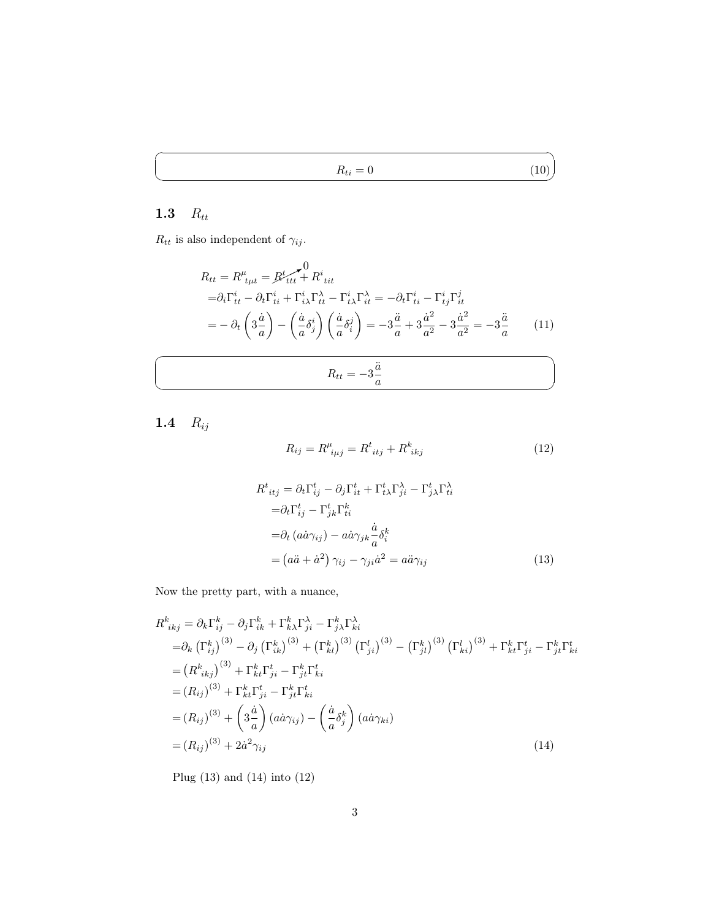$R_{ti} = 0$  (10)

### <span id="page-2-0"></span>1.3  $R_{tt}$

 $\overline{a}$ 

 $\searrow$ 

 $R_{tt}$  is also independent of  $\gamma_{ij}$ .

$$
R_{tt} = R^{\mu}_{ttt} = B^t_{ttt} + R^i_{tit}
$$
  
\n
$$
= \partial_i \Gamma^i_{tt} - \partial_t \Gamma^i_{ti} + \Gamma^i_{i\lambda} \Gamma^{\lambda}_{tt} - \Gamma^i_{t\lambda} \Gamma^{\lambda}_{it} = -\partial_t \Gamma^i_{ti} - \Gamma^i_{tj} \Gamma^j_{it}
$$
  
\n
$$
= -\partial_t \left(3\frac{\dot{a}}{a}\right) - \left(\frac{\dot{a}}{a}\delta^i_j\right) \left(\frac{\dot{a}}{a}\delta^j_i\right) = -3\frac{\ddot{a}}{a} + 3\frac{\dot{a}^2}{a^2} - 3\frac{\dot{a}^2}{a^2} = -3\frac{\ddot{a}}{a} \tag{11}
$$

$$
R_{tt} = -3\frac{\ddot{a}}{a}
$$

<span id="page-2-1"></span>1.4  $R_{ij}$ 

 $\overline{C}$ 

 $\searrow$ 

<span id="page-2-4"></span><span id="page-2-2"></span>
$$
R_{ij} = R^{\mu}_{\ \ i\mu j} = R^t_{\ \ itj} + R^k_{\ \ ikj} \tag{12}
$$

$$
R^{t}_{itj} = \partial_{t} \Gamma^{t}_{ij} - \partial_{j} \Gamma^{t}_{it} + \Gamma^{t}_{t\lambda} \Gamma^{ \lambda}_{ji} - \Gamma^{t}_{j\lambda} \Gamma^{ \lambda}_{ti}
$$
  
\n
$$
= \partial_{t} \Gamma^{t}_{ij} - \Gamma^{t}_{jk} \Gamma^{k}_{ti}
$$
  
\n
$$
= \partial_{t} (a\dot{a}\gamma_{ij}) - a\dot{a}\gamma_{jk}\frac{\dot{a}}{a}\delta^{k}_{i}
$$
  
\n
$$
= (a\ddot{a} + \dot{a}^{2}) \gamma_{ij} - \gamma_{ji}\dot{a}^{2} = a\ddot{a}\gamma_{ij}
$$
 (13)

Now the pretty part, with a nuance,

$$
R^{k}_{ikj} = \partial_{k} \Gamma^{k}_{ij} - \partial_{j} \Gamma^{k}_{ik} + \Gamma^{k}_{k\lambda} \Gamma^{X}_{ji} - \Gamma^{k}_{j\lambda} \Gamma^{X}_{ki}
$$
  
\n
$$
= \partial_{k} (\Gamma^{k}_{ij})^{(3)} - \partial_{j} (\Gamma^{k}_{ik})^{(3)} + (\Gamma^{k}_{kl})^{(3)} (\Gamma^{l}_{ji})^{(3)} - (\Gamma^{k}_{jl})^{(3)} (\Gamma^{l}_{ki})^{(3)} + \Gamma^{k}_{kt} \Gamma^{t}_{ji} - \Gamma^{k}_{jt} \Gamma^{t}_{ki}
$$
  
\n
$$
= (R^{k}_{ikj})^{(3)} + \Gamma^{k}_{kt} \Gamma^{t}_{ji} - \Gamma^{k}_{jt} \Gamma^{t}_{ki}
$$
  
\n
$$
= (R_{ij})^{(3)} + \Gamma^{k}_{kt} \Gamma^{t}_{ji} - \Gamma^{k}_{jt} \Gamma^{t}_{ki}
$$
  
\n
$$
= (R_{ij})^{(3)} + \left(3\frac{\dot{a}}{a}\right)(a\dot{a}\gamma_{ij}) - \left(\frac{\dot{a}}{a}\delta^{k}_{j}\right)(a\dot{a}\gamma_{ki})
$$
  
\n
$$
= (R_{ij})^{(3)} + 2\dot{a}^{2}\gamma_{ij}
$$
  
\n(14)

<span id="page-2-3"></span>Plug [\(13\)](#page-2-2) and [\(14\)](#page-2-3) into [\(12\)](#page-2-4)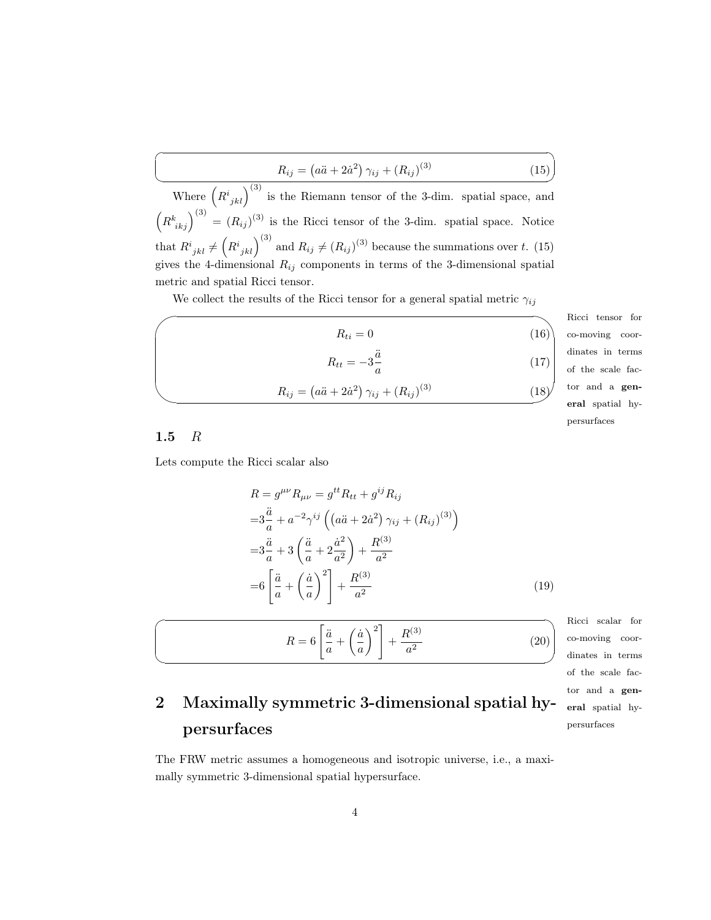<span id="page-3-2"></span>
$$
R_{ij} = (a\ddot{a} + 2\dot{a}^2)\,\gamma_{ij} + (R_{ij})^{(3)}\tag{15}
$$

Where  $(R^{i}_{jkl})^{(3)}$  is the Riemann tensor of the 3-dim. spatial space, and  $\left(R^k_{ikj}\right)^{(3)} = (R_{ij})^{(3)}$  is the Ricci tensor of the 3-dim. spatial space. Notice that  $R^i_{jkl} \neq (R^i_{jkl})^{(3)}$  and  $R_{ij} \neq (R_{ij})^{(3)}$  because the summations over t. [\(15\)](#page-3-2) gives the 4-dimensional  $R_{ij}$  components in terms of the 3-dimensional spatial metric and spatial Ricci tensor.

We collect the results of the Ricci tensor for a general spatial metric  $\gamma_{ij}$ 

|                          |                                                                  |      | Ricci te                |
|--------------------------|------------------------------------------------------------------|------|-------------------------|
|                          | $R_{ti} = 0$                                                     | (16) | co-movir                |
|                          |                                                                  |      |                         |
| $R_{tt} = -3\frac{a}{a}$ |                                                                  |      | $(17)$ dinates of the s |
|                          | $R_{ij} = (a\ddot{a} + 2\dot{a}^2) \gamma_{ij} + (R_{ij})^{(3)}$ | (18) | tor $\alpha$            |
|                          |                                                                  |      | eral sp                 |

ensor for ng coorin terms scale faca genatial hypersurfaces

✠

#### <span id="page-3-0"></span>1.5  $R$

 $\sqrt{2}$ 

✍

 $\overline{a}$ 

 $\searrow$ 

Lets compute the Ricci scalar also

$$
R = g^{\mu\nu} R_{\mu\nu} = g^{tt} R_{tt} + g^{ij} R_{ij}
$$
  
\n
$$
= 3\frac{\ddot{a}}{a} + a^{-2} \gamma^{ij} \left( (a\ddot{a} + 2\dot{a}^2) \gamma_{ij} + (R_{ij})^{(3)} \right)
$$
  
\n
$$
= 3\frac{\ddot{a}}{a} + 3 \left( \frac{\ddot{a}}{a} + 2\frac{\dot{a}^2}{a^2} \right) + \frac{R^{(3)}}{a^2}
$$
  
\n
$$
= 6 \left[ \frac{\ddot{a}}{a} + \left( \frac{\dot{a}}{a} \right)^2 \right] + \frac{R^{(3)}}{a^2}
$$
 (19)

<span id="page-3-3"></span>
$$
R = 6\left[\frac{\ddot{a}}{a} + \left(\frac{\dot{a}}{a}\right)^2\right] + \frac{R^{(3)}}{a^2}
$$

Ricci scalar for ✌ co-moving coordinates in terms of the scale factor and a general spatial hypersurfaces

(20)

### <span id="page-3-1"></span>2 Maximally symmetric 3-dimensional spatial hypersurfaces

The FRW metric assumes a homogeneous and isotropic universe, i.e., a maximally symmetric 3-dimensional spatial hypersurface.